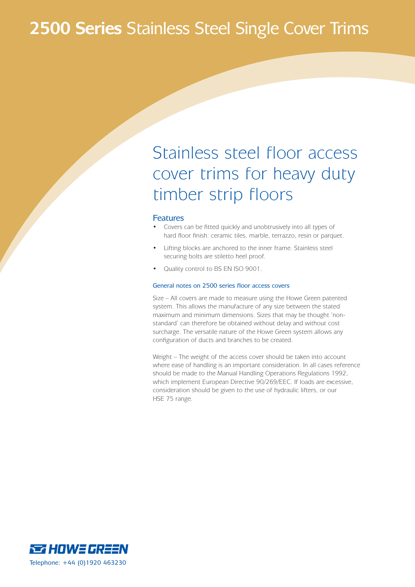## **2500 Series** Stainless Steel Single Cover Trims

# Stainless steel floor access cover trims for heavy duty timber strip floors

#### Features

- Covers can be fitted quickly and unobtrusively into all types of hard floor finish: ceramic tiles, marble, terrazzo, resin or parquet.
- Lifting blocks are anchored to the inner frame. Stainless steel securing bolts are stiletto heel proof.
- Quality control to BS EN ISO 9001.

#### General notes on 2500 series floor access covers

Size – All covers are made to measure using the Howe Green patented system. This allows the manufacture of any size between the stated maximum and minimum dimensions. Sizes that may be thought 'nonstandard' can therefore be obtained without delay and without cost surcharge. The versatile nature of the Howe Green system allows any configuration of ducts and branches to be created.

Weight – The weight of the access cover should be taken into account where ease of handling is an important consideration. In all cases reference should be made to the Manual Handling Operations Regulations 1992, which implement European Directive 90/269/EEC. If loads are excessive, consideration should be given to the use of hydraulic lifters, or our HSE 75 range.